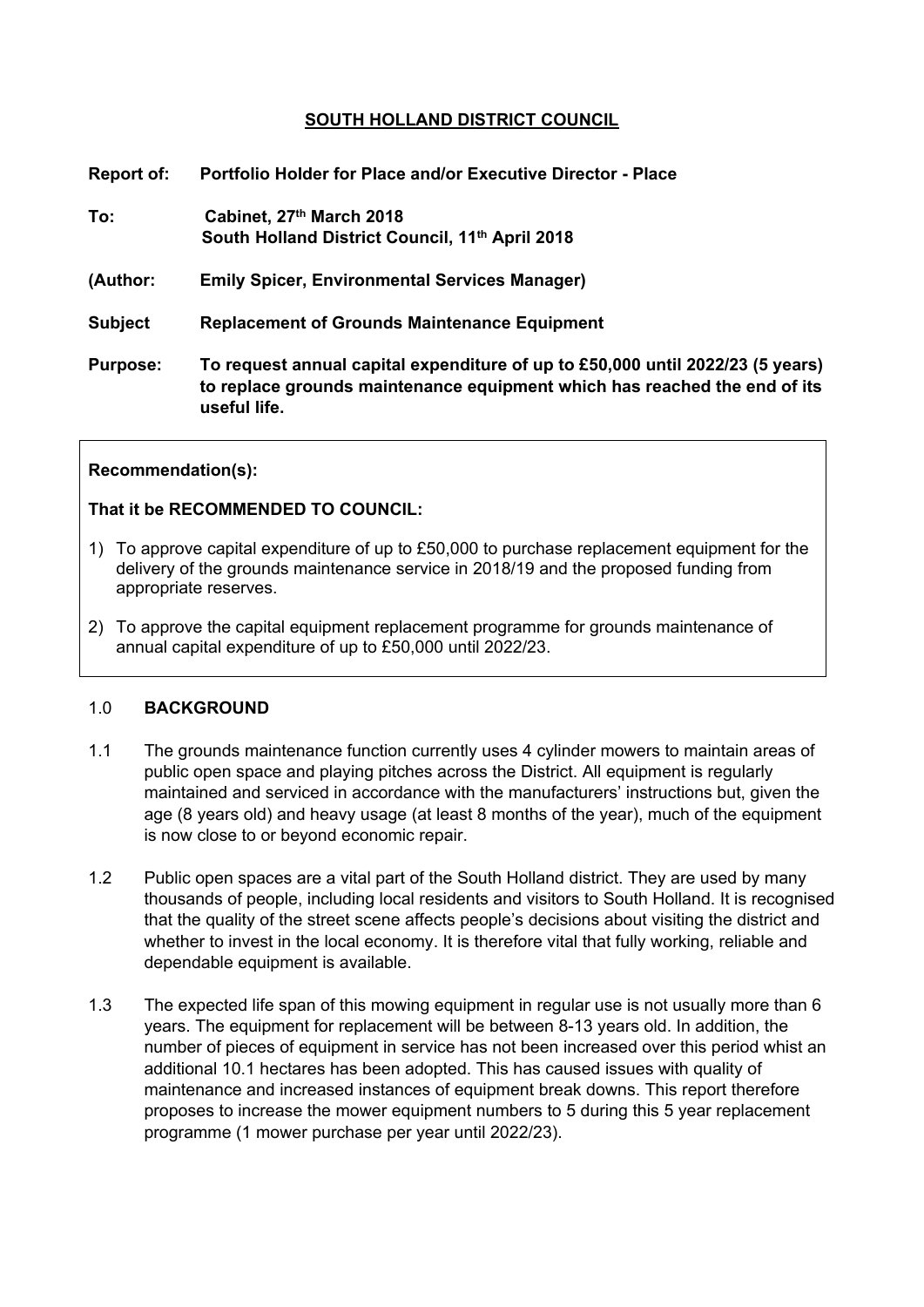# **SOUTH HOLLAND DISTRICT COUNCIL**

| Report of:      | Portfolio Holder for Place and/or Executive Director - Place                                                                                                                |
|-----------------|-----------------------------------------------------------------------------------------------------------------------------------------------------------------------------|
| To:             | Cabinet, 27th March 2018<br>South Holland District Council, 11th April 2018                                                                                                 |
| (Author:        | <b>Emily Spicer, Environmental Services Manager)</b>                                                                                                                        |
| <b>Subject</b>  | <b>Replacement of Grounds Maintenance Equipment</b>                                                                                                                         |
| <b>Purpose:</b> | To request annual capital expenditure of up to £50,000 until 2022/23 (5 years)<br>to replace grounds maintenance equipment which has reached the end of its<br>useful life. |

#### **Recommendation(s):**

## **That it be RECOMMENDED TO COUNCIL:**

- 1) To approve capital expenditure of up to £50,000 to purchase replacement equipment for the delivery of the grounds maintenance service in 2018/19 and the proposed funding from appropriate reserves.
- 2) To approve the capital equipment replacement programme for grounds maintenance of annual capital expenditure of up to £50,000 until 2022/23.

#### 1.0 **BACKGROUND**

- 1.1 The grounds maintenance function currently uses 4 cylinder mowers to maintain areas of public open space and playing pitches across the District. All equipment is regularly maintained and serviced in accordance with the manufacturers' instructions but, given the age (8 years old) and heavy usage (at least 8 months of the year), much of the equipment is now close to or beyond economic repair.
- 1.2 Public open spaces are a vital part of the South Holland district. They are used by many thousands of people, including local residents and visitors to South Holland. It is recognised that the quality of the street scene affects people's decisions about visiting the district and whether to invest in the local economy. It is therefore vital that fully working, reliable and dependable equipment is available.
- 1.3 The expected life span of this mowing equipment in regular use is not usually more than 6 years. The equipment for replacement will be between 8-13 years old. In addition, the number of pieces of equipment in service has not been increased over this period whist an additional 10.1 hectares has been adopted. This has caused issues with quality of maintenance and increased instances of equipment break downs. This report therefore proposes to increase the mower equipment numbers to 5 during this 5 year replacement programme (1 mower purchase per year until 2022/23).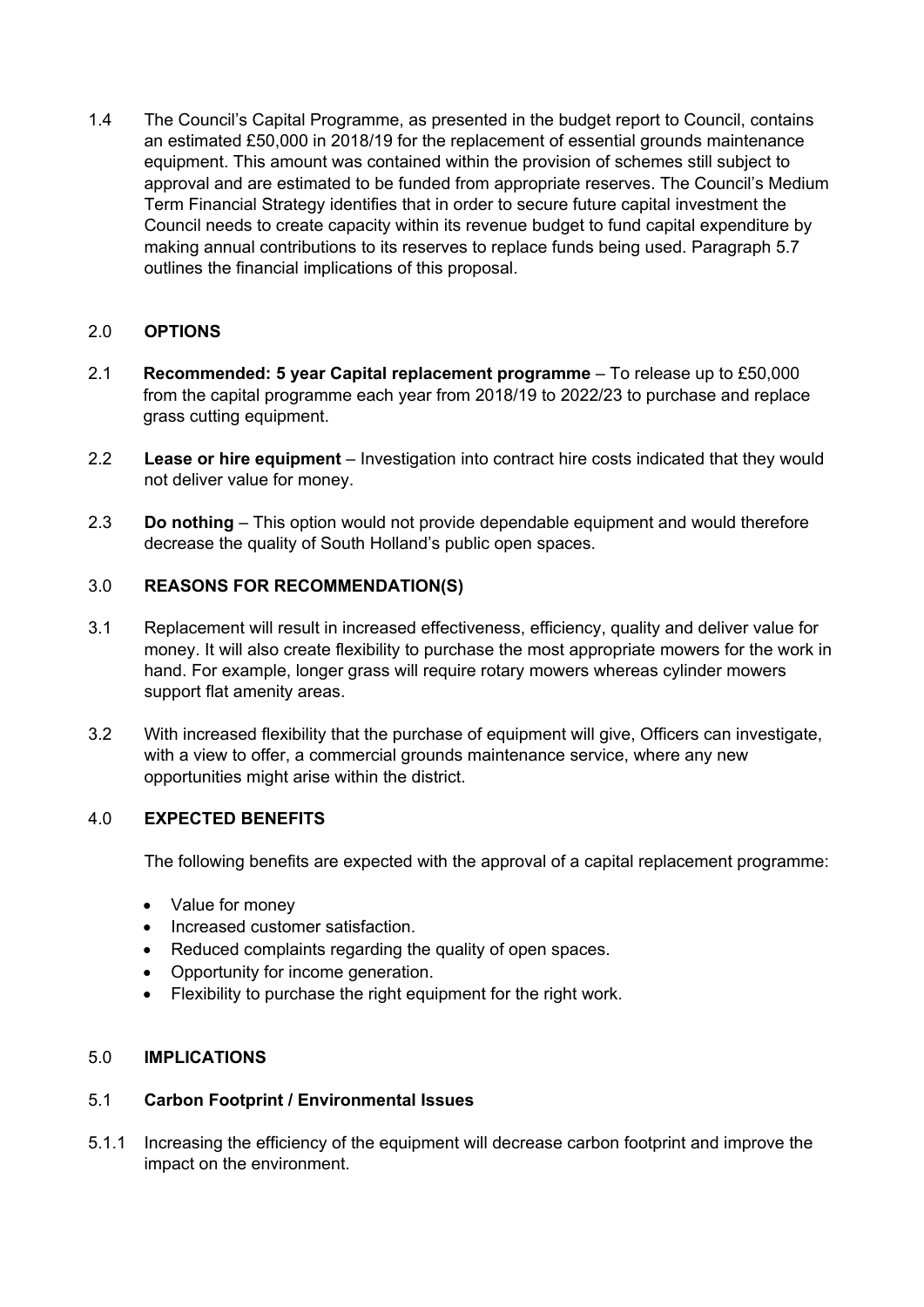1.4 The Council's Capital Programme, as presented in the budget report to Council, contains an estimated £50,000 in 2018/19 for the replacement of essential grounds maintenance equipment. This amount was contained within the provision of schemes still subject to approval and are estimated to be funded from appropriate reserves. The Council's Medium Term Financial Strategy identifies that in order to secure future capital investment the Council needs to create capacity within its revenue budget to fund capital expenditure by making annual contributions to its reserves to replace funds being used. Paragraph 5.7 outlines the financial implications of this proposal.

## 2.0 **OPTIONS**

- 2.1 **Recommended: 5 year Capital replacement programme** To release up to £50,000 from the capital programme each year from 2018/19 to 2022/23 to purchase and replace grass cutting equipment.
- 2.2 **Lease or hire equipment** Investigation into contract hire costs indicated that they would not deliver value for money.
- 2.3 **Do nothing** This option would not provide dependable equipment and would therefore decrease the quality of South Holland's public open spaces.

## 3.0 **REASONS FOR RECOMMENDATION(S)**

- 3.1 Replacement will result in increased effectiveness, efficiency, quality and deliver value for money. It will also create flexibility to purchase the most appropriate mowers for the work in hand. For example, longer grass will require rotary mowers whereas cylinder mowers support flat amenity areas.
- 3.2 With increased flexibility that the purchase of equipment will give, Officers can investigate, with a view to offer, a commercial grounds maintenance service, where any new opportunities might arise within the district.

#### 4.0 **EXPECTED BENEFITS**

The following benefits are expected with the approval of a capital replacement programme:

- Value for money
- Increased customer satisfaction.
- Reduced complaints regarding the quality of open spaces.
- Opportunity for income generation.
- Flexibility to purchase the right equipment for the right work.

#### 5.0 **IMPLICATIONS**

#### 5.1 **Carbon Footprint / Environmental Issues**

5.1.1 Increasing the efficiency of the equipment will decrease carbon footprint and improve the impact on the environment.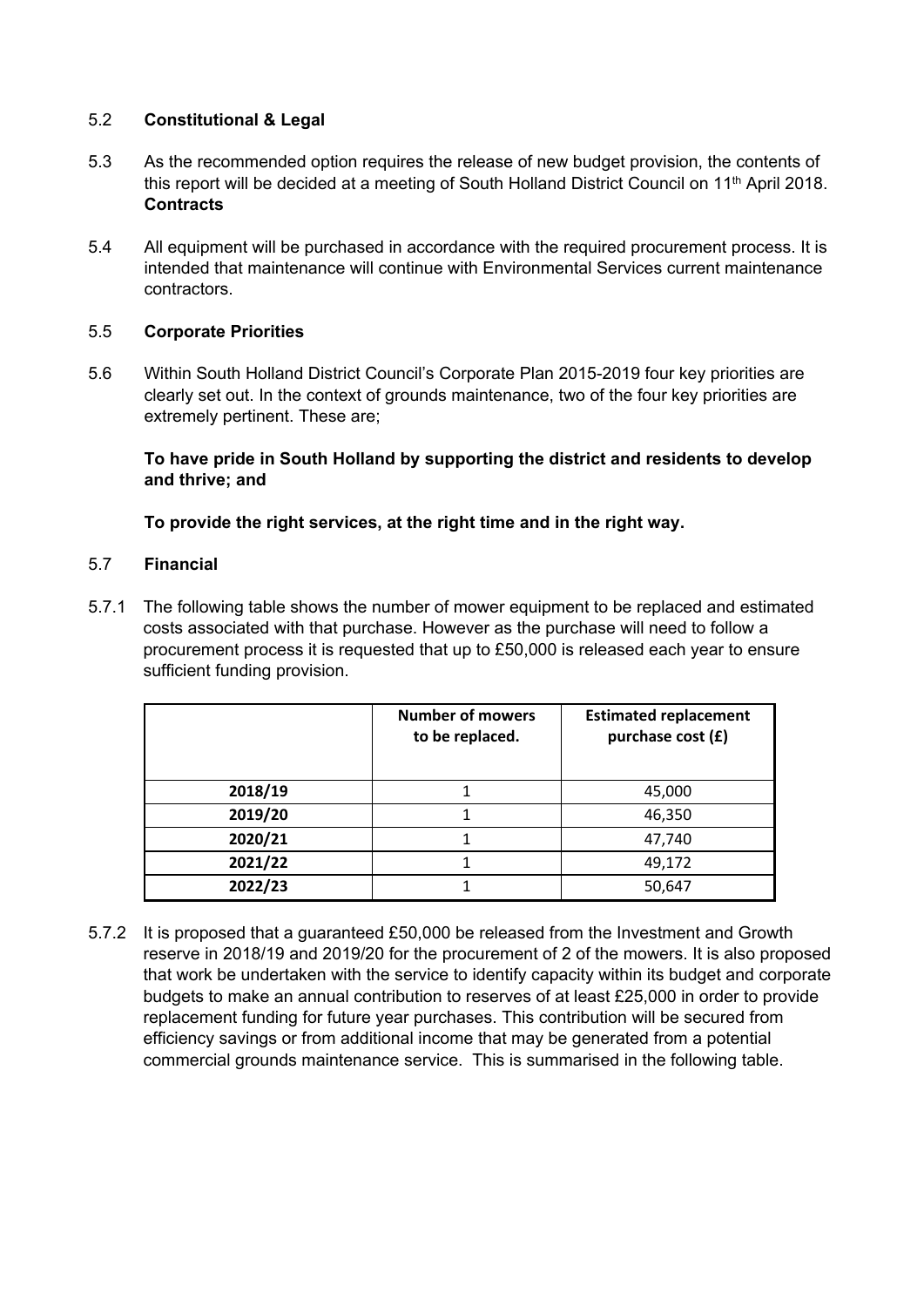## 5.2 **Constitutional & Legal**

- 5.3 As the recommended option requires the release of new budget provision, the contents of this report will be decided at a meeting of South Holland District Council on 11<sup>th</sup> April 2018. **Contracts**
- 5.4 All equipment will be purchased in accordance with the required procurement process. It is intended that maintenance will continue with Environmental Services current maintenance contractors.

## 5.5 **Corporate Priorities**

5.6 Within South Holland District Council's Corporate Plan 2015-2019 four key priorities are clearly set out. In the context of grounds maintenance, two of the four key priorities are extremely pertinent. These are;

## **To have pride in South Holland by supporting the district and residents to develop and thrive; and**

# **To provide the right services, at the right time and in the right way.**

#### 5.7 **Financial**

5.7.1 The following table shows the number of mower equipment to be replaced and estimated costs associated with that purchase. However as the purchase will need to follow a procurement process it is requested that up to £50,000 is released each year to ensure sufficient funding provision.

|         | <b>Number of mowers</b><br>to be replaced. | <b>Estimated replacement</b><br>purchase cost (£) |
|---------|--------------------------------------------|---------------------------------------------------|
| 2018/19 |                                            | 45,000                                            |
| 2019/20 |                                            | 46,350                                            |
| 2020/21 |                                            | 47,740                                            |
| 2021/22 |                                            | 49,172                                            |
| 2022/23 |                                            | 50,647                                            |

5.7.2 It is proposed that a guaranteed £50,000 be released from the Investment and Growth reserve in 2018/19 and 2019/20 for the procurement of 2 of the mowers. It is also proposed that work be undertaken with the service to identify capacity within its budget and corporate budgets to make an annual contribution to reserves of at least £25,000 in order to provide replacement funding for future year purchases. This contribution will be secured from efficiency savings or from additional income that may be generated from a potential commercial grounds maintenance service. This is summarised in the following table.